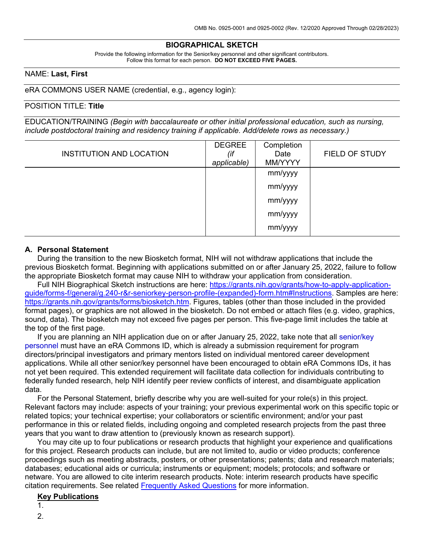## **BIOGRAPHICAL SKETCH**

Provide the following information for the Senior/key personnel and other significant contributors. Follow this format for each person. **DO NOT EXCEED FIVE PAGES.**

#### NAME: **Last, First**

eRA COMMONS USER NAME (credential, e.g., agency login):

#### POSITION TITLE: **Title**

EDUCATION/TRAINING *(Begin with baccalaureate or other initial professional education, such as nursing, include postdoctoral training and residency training if applicable. Add/delete rows as necessary.)*

| <b>INSTITUTION AND LOCATION</b> | <b>DEGREE</b><br>(if<br>applicable) | Completion<br>Date<br>MM/YYYY | FIELD OF STUDY |
|---------------------------------|-------------------------------------|-------------------------------|----------------|
|                                 |                                     | mm/yyyy                       |                |
|                                 |                                     | mm/yyyy                       |                |
|                                 |                                     | mm/yyyy                       |                |
|                                 |                                     | mm/yyyy                       |                |
|                                 |                                     | mm/yyyy                       |                |

#### **A. Personal Statement**

During the transition to the new Biosketch format, NIH will not withdraw applications that include the previous Biosketch format. Beginning with applications submitted on or after January 25, 2022, failure to follow the appropriate Biosketch format may cause NIH to withdraw your application from consideration.

Full NIH Biographical Sketch instructions are here: [https://grants.nih.gov/grants/how-to-apply-application](https://grants.nih.gov/grants/how-to-apply-application-guide/forms-f/general/g.240-r&r-seniorkey-person-profile-(expanded)-form.htm#Instructions)[guide/forms-f/general/g.240-r&r-seniorkey-person-profile-\(expanded\)-form.htm#Instructions.](https://grants.nih.gov/grants/how-to-apply-application-guide/forms-f/general/g.240-r&r-seniorkey-person-profile-(expanded)-form.htm#Instructions) Samples are here: [https://grants.nih.gov/grants/forms/biosketch.htm.](https://grants.nih.gov/grants/forms/biosketch.htm) Figures, tables (other than those included in the provided format pages), or graphics are not allowed in the biosketch. Do not embed or attach files (e.g. video, graphics, sound, data). The biosketch may not exceed five pages per person. This five-page limit includes the table at the top of the first page.

If you are planning an NIH application due on or after January 25, 2022, take note that all [senior/key](https://grants.nih.gov/grants/glossary.htm#SeniorKeyPersonnel)  [personnel](https://grants.nih.gov/grants/glossary.htm#SeniorKeyPersonnel) must have an eRA Commons ID, which is already a submission requirement for program directors/principal investigators and primary mentors listed on individual mentored career development applications. While all other senior/key personnel have been encouraged to obtain eRA Commons IDs, it has not yet been required. This extended requirement will facilitate data collection for individuals contributing to federally funded research, help NIH identify peer review conflicts of interest, and disambiguate application data.

For the Personal Statement, briefly describe why you are well-suited for your role(s) in this project. Relevant factors may include: aspects of your training; your previous experimental work on this specific topic or related topics; your technical expertise; your collaborators or scientific environment; and/or your past performance in this or related fields, including ongoing and completed research projects from the past three years that you want to draw attention to (previously known as research support).

You may cite up to four publications or research products that highlight your experience and qualifications for this project. Research products can include, but are not limited to, audio or video products; conference proceedings such as meeting abstracts, posters, or other presentations; patents; data and research materials; databases; educational aids or curricula; instruments or equipment; models; protocols; and software or netware. You are allowed to cite interim research products. Note: interim research products have specific citation requirements. See related [Frequently Asked Questions](http://grants.nih.gov/grants/interim_product_faqs.htm) for more information.

#### **Key Publications**

1.

2.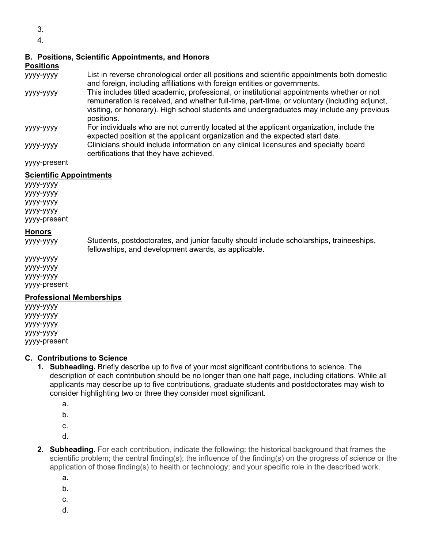- 3.
- 4.

# **B. Positions, Scientific Appointments, and Honors**

## **Positions**

- yyyy-yyyy List in reverse chronological order all positions and scientific appointments both domestic and foreign, including affiliations with foreign entities or governments.
- yyyy-yyyy This includes titled academic, professional, or institutional appointments whether or not remuneration is received, and whether full-time, part-time, or voluntary (including adjunct, visiting, or honorary). High school students and undergraduates may include any previous positions.
- yyyy-yyyy For individuals who are not currently located at the applicant organization, include the expected position at the applicant organization and the expected start date.
- yyyy-yyyy Clinicians should include information on any clinical licensures and specialty board certifications that they have achieved.

yyyy-present

# **Scientific Appointments**

yyyy-yyyy yyyy-yyyy yyyy-yyyy yyyy-yyyy yyyy-present

#### **Honors**

yyyy-yyyy Students, postdoctorates, and junior faculty should include scholarships, traineeships, fellowships, and development awards, as applicable.

yyyy-yyyy yyyy-yyyy yyyy-yyyy yyyy-present

## **Professional Memberships**

yyyy-yyyy yyyy-yyyy yyyy-yyyy yyyy-yyyy yyyy-present

## **C. Contributions to Science**

- **1. Subheading.** Briefly describe up to five of your most significant contributions to science. The description of each contribution should be no longer than one half page, including citations. While all applicants may describe up to five contributions, graduate students and postdoctorates may wish to consider highlighting two or three they consider most significant.
	- a.
	- b.
	- c.
	- d.
- **2. Subheading.** For each contribution, indicate the following: the historical background that frames the scientific problem; the central finding(s); the influence of the finding(s) on the progress of science or the application of those finding(s) to health or technology; and your specific role in the described work.
	- a.
	- b.
	- c.
	- d.